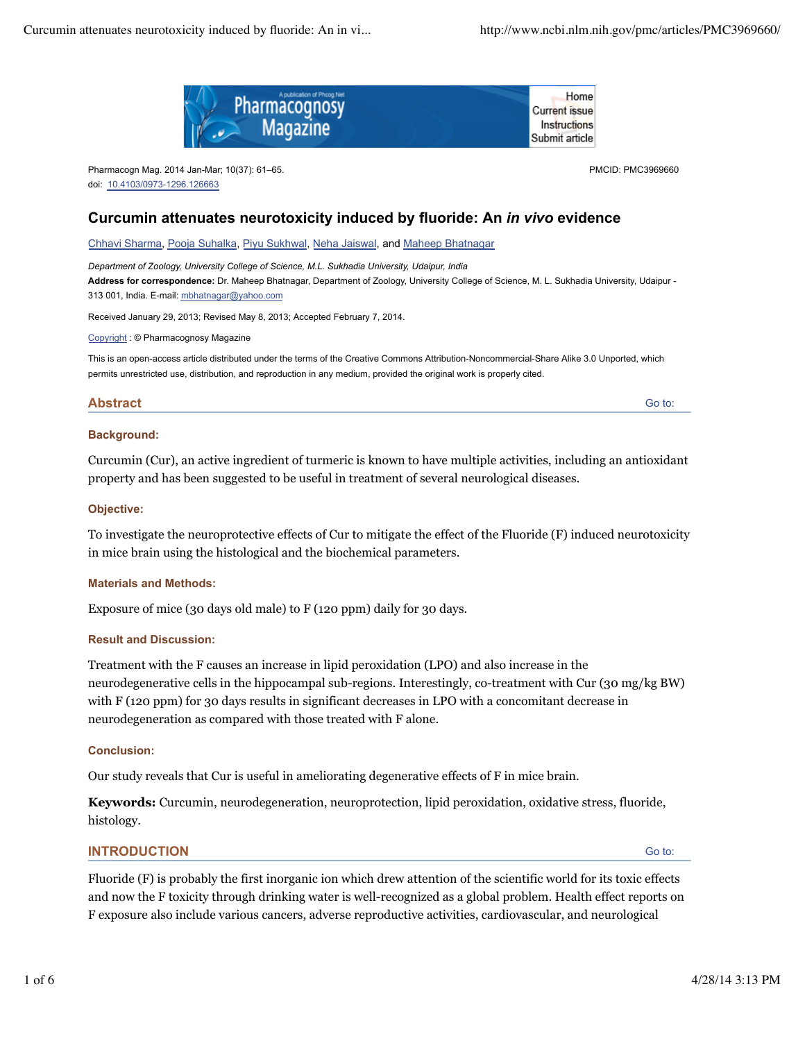

Pharmacogn Mag. 2014 Jan-Mar; 10(37): 61–65. doi: 10.4103/0973-1296.126663

PMCID: PMC3969660

Go to:

## **Curcumin attenuates neurotoxicity induced by fluoride: An** *in vivo* **evidence**

Chhavi Sharma, Pooja Suhalka, Piyu Sukhwal, Neha Jaiswal, and Maheep Bhatnagar

*Department of Zoology, University College of Science, M.L. Sukhadia University, Udaipur, India* **Address for correspondence:** Dr. Maheep Bhatnagar, Department of Zoology, University College of Science, M. L. Sukhadia University, Udaipur - 313 001, India. E-mail: mbhatnagar@yahoo.com

Received January 29, 2013; Revised May 8, 2013; Accepted February 7, 2014.

Copyright : © Pharmacognosy Magazine

This is an open-access article distributed under the terms of the Creative Commons Attribution-Noncommercial-Share Alike 3.0 Unported, which permits unrestricted use, distribution, and reproduction in any medium, provided the original work is properly cited.

### **Abstract**

**Background:**

Curcumin (Cur), an active ingredient of turmeric is known to have multiple activities, including an antioxidant property and has been suggested to be useful in treatment of several neurological diseases.

#### **Objective:**

To investigate the neuroprotective effects of Cur to mitigate the effect of the Fluoride (F) induced neurotoxicity in mice brain using the histological and the biochemical parameters.

#### **Materials and Methods:**

Exposure of mice (30 days old male) to F (120 ppm) daily for 30 days.

#### **Result and Discussion:**

Treatment with the F causes an increase in lipid peroxidation (LPO) and also increase in the neurodegenerative cells in the hippocampal sub-regions. Interestingly, co-treatment with Cur (30 mg/kg BW) with F (120 ppm) for 30 days results in significant decreases in LPO with a concomitant decrease in neurodegeneration as compared with those treated with F alone.

#### **Conclusion:**

Our study reveals that Cur is useful in ameliorating degenerative effects of F in mice brain.

**Keywords:** Curcumin, neurodegeneration, neuroprotection, lipid peroxidation, oxidative stress, fluoride, histology.

## **INTRODUCTION**

Go to:

Fluoride (F) is probably the first inorganic ion which drew attention of the scientific world for its toxic effects and now the F toxicity through drinking water is well-recognized as a global problem. Health effect reports on F exposure also include various cancers, adverse reproductive activities, cardiovascular, and neurological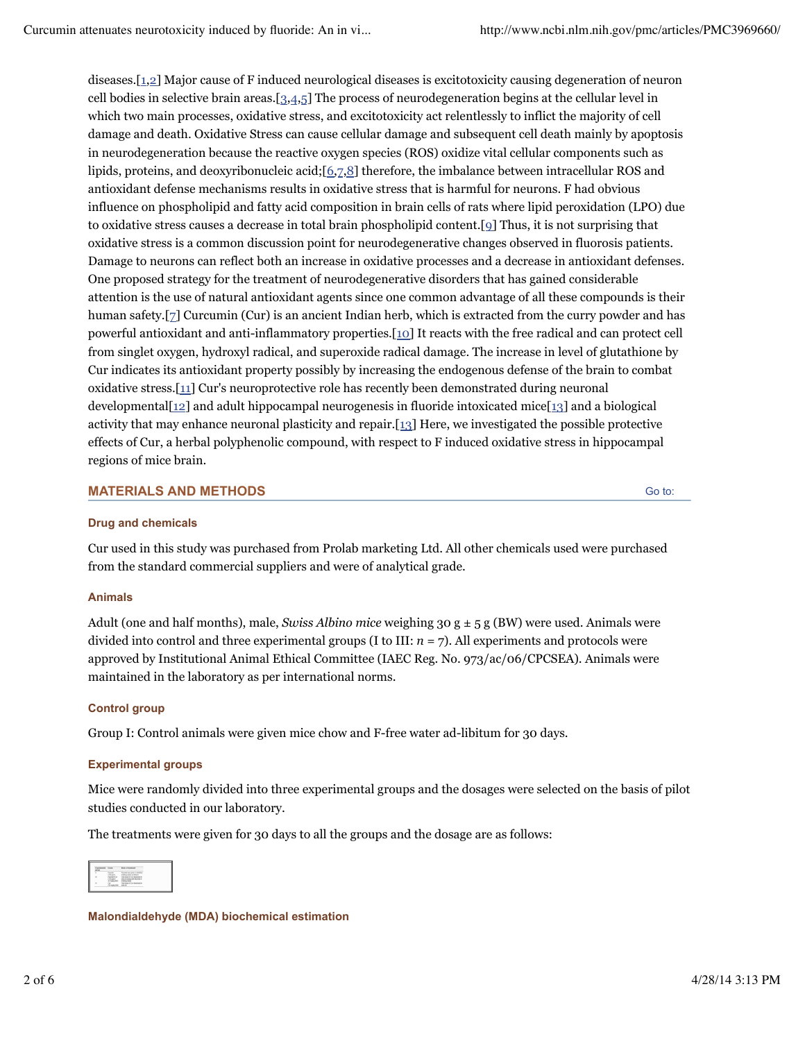diseases.[1,2] Major cause of F induced neurological diseases is excitotoxicity causing degeneration of neuron cell bodies in selective brain areas.[3,4,5] The process of neurodegeneration begins at the cellular level in which two main processes, oxidative stress, and excitotoxicity act relentlessly to inflict the majority of cell damage and death. Oxidative Stress can cause cellular damage and subsequent cell death mainly by apoptosis in neurodegeneration because the reactive oxygen species (ROS) oxidize vital cellular components such as lipids, proteins, and deoxyribonucleic acid;[6,7,8] therefore, the imbalance between intracellular ROS and antioxidant defense mechanisms results in oxidative stress that is harmful for neurons. F had obvious influence on phospholipid and fatty acid composition in brain cells of rats where lipid peroxidation (LPO) due to oxidative stress causes a decrease in total brain phospholipid content.[9] Thus, it is not surprising that oxidative stress is a common discussion point for neurodegenerative changes observed in fluorosis patients. Damage to neurons can reflect both an increase in oxidative processes and a decrease in antioxidant defenses. One proposed strategy for the treatment of neurodegenerative disorders that has gained considerable attention is the use of natural antioxidant agents since one common advantage of all these compounds is their human safety.[7] Curcumin (Cur) is an ancient Indian herb, which is extracted from the curry powder and has powerful antioxidant and anti-inflammatory properties.[10] It reacts with the free radical and can protect cell from singlet oxygen, hydroxyl radical, and superoxide radical damage. The increase in level of glutathione by Cur indicates its antioxidant property possibly by increasing the endogenous defense of the brain to combat oxidative stress.[11] Cur's neuroprotective role has recently been demonstrated during neuronal developmental  $[12]$  and adult hippocampal neurogenesis in fluoride intoxicated mice  $[13]$  and a biological activity that may enhance neuronal plasticity and repair.[13] Here, we investigated the possible protective effects of Cur, a herbal polyphenolic compound, with respect to F induced oxidative stress in hippocampal regions of mice brain.

## **MATERIALS AND METHODS**

Go to:

#### **Drug and chemicals**

Cur used in this study was purchased from Prolab marketing Ltd. All other chemicals used were purchased from the standard commercial suppliers and were of analytical grade.

#### **Animals**

Adult (one and half months), male, *Swiss Albino mice* weighing 30  $g \pm 5 g$  (BW) were used. Animals were divided into control and three experimental groups  $(I \text{ to III}: n = 7)$ . All experiments and protocols were approved by Institutional Animal Ethical Committee (IAEC Reg. No. 973/ac/06/CPCSEA). Animals were maintained in the laboratory as per international norms.

#### **Control group**

Group I: Control animals were given mice chow and F-free water ad-libitum for 30 days.

#### **Experimental groups**

Mice were randomly divided into three experimental groups and the dosages were selected on the basis of pilot studies conducted in our laboratory.

The treatments were given for 30 days to all the groups and the dosage are as follows:

| ٠ |  |  |
|---|--|--|
|   |  |  |

**Malondialdehyde (MDA) biochemical estimation**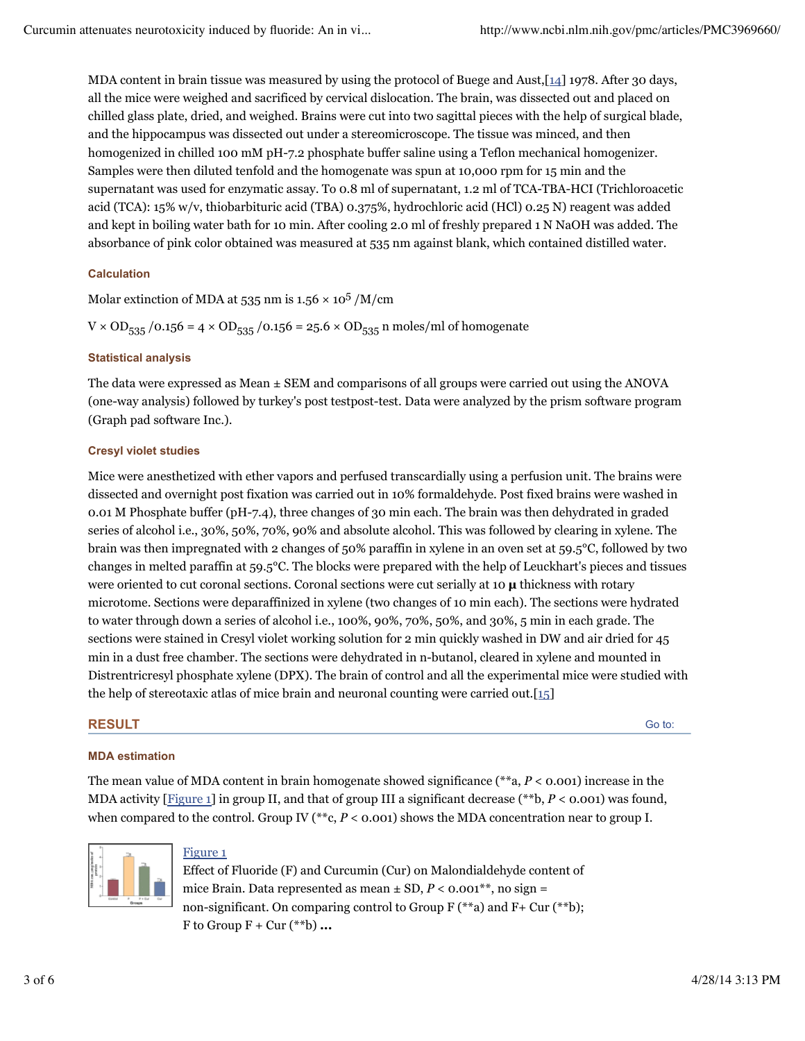MDA content in brain tissue was measured by using the protocol of Buege and Aust,[14] 1978. After 30 days, all the mice were weighed and sacrificed by cervical dislocation. The brain, was dissected out and placed on chilled glass plate, dried, and weighed. Brains were cut into two sagittal pieces with the help of surgical blade, and the hippocampus was dissected out under a stereomicroscope. The tissue was minced, and then homogenized in chilled 100 mM pH-7.2 phosphate buffer saline using a Teflon mechanical homogenizer. Samples were then diluted tenfold and the homogenate was spun at 10,000 rpm for 15 min and the supernatant was used for enzymatic assay. To 0.8 ml of supernatant, 1.2 ml of TCA-TBA-HCI (Trichloroacetic acid (TCA): 15% w/v, thiobarbituric acid (TBA) 0.375%, hydrochloric acid (HCl) 0.25 N) reagent was added and kept in boiling water bath for 10 min. After cooling 2.0 ml of freshly prepared 1 N NaOH was added. The absorbance of pink color obtained was measured at 535 nm against blank, which contained distilled water.

## **Calculation**

Molar extinction of MDA at 535 nm is  $1.56 \times 10^5$  /M/cm

 $V \times OD_{535} / 0.156 = 4 \times OD_{535} / 0.156 = 25.6 \times OD_{535}$  n moles/ml of homogenate

## **Statistical analysis**

The data were expressed as Mean ± SEM and comparisons of all groups were carried out using the ANOVA (one-way analysis) followed by turkey's post testpost-test. Data were analyzed by the prism software program (Graph pad software Inc.).

## **Cresyl violet studies**

Mice were anesthetized with ether vapors and perfused transcardially using a perfusion unit. The brains were dissected and overnight post fixation was carried out in 10% formaldehyde. Post fixed brains were washed in 0.01 M Phosphate buffer (pH-7.4), three changes of 30 min each. The brain was then dehydrated in graded series of alcohol i.e., 30%, 50%, 70%, 90% and absolute alcohol. This was followed by clearing in xylene. The brain was then impregnated with 2 changes of 50% paraffin in xylene in an oven set at 59.5°C, followed by two changes in melted paraffin at 59.5°C. The blocks were prepared with the help of Leuckhart's pieces and tissues were oriented to cut coronal sections. Coronal sections were cut serially at 10 **µ** thickness with rotary microtome. Sections were deparaffinized in xylene (two changes of 10 min each). The sections were hydrated to water through down a series of alcohol i.e., 100%, 90%, 70%, 50%, and 30%, 5 min in each grade. The sections were stained in Cresyl violet working solution for 2 min quickly washed in DW and air dried for 45 min in a dust free chamber. The sections were dehydrated in n-butanol, cleared in xylene and mounted in Distrentricresyl phosphate xylene (DPX). The brain of control and all the experimental mice were studied with the help of stereotaxic atlas of mice brain and neuronal counting were carried out.[15]

## **RESULT**

Go to:

## **MDA estimation**

The mean value of MDA content in brain homogenate showed significance (\*\*a, *P* < 0.001) increase in the MDA activity [Figure 1] in group II, and that of group III a significant decrease (\*\*b,  $P < 0.001$ ) was found, when compared to the control. Group IV (\*\*c, *P* < 0.001) shows the MDA concentration near to group I.



## Figure 1

Effect of Fluoride (F) and Curcumin (Cur) on Malondialdehyde content of mice Brain. Data represented as mean  $\pm$  SD,  $P < 0.001^{**}$ , no sign = non-significant. On comparing control to Group F (\*\*a) and F + Cur (\*\*b); F to Group  $F + Cur$  (\*\*b) ...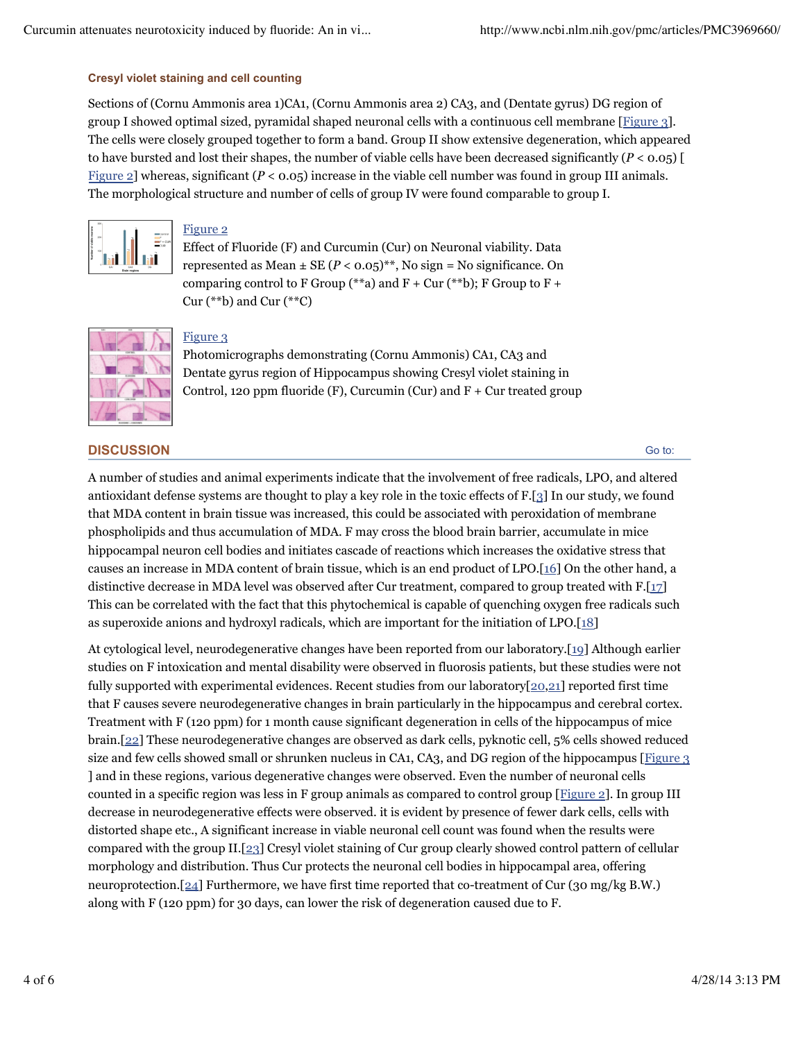### **Cresyl violet staining and cell counting**

Sections of (Cornu Ammonis area 1)CA1, (Cornu Ammonis area 2) CA3, and (Dentate gyrus) DG region of group I showed optimal sized, pyramidal shaped neuronal cells with a continuous cell membrane [Figure 3]. The cells were closely grouped together to form a band. Group II show extensive degeneration, which appeared to have bursted and lost their shapes, the number of viable cells have been decreased significantly (*P* < 0.05) [ Figure 2] whereas, significant  $(P < 0.05)$  increase in the viable cell number was found in group III animals. The morphological structure and number of cells of group IV were found comparable to group I.



## Figure 2

Effect of Fluoride (F) and Curcumin (Cur) on Neuronal viability. Data represented as Mean  $\pm$  SE ( $P < 0.05$ )<sup>\*\*</sup>, No sign = No significance. On comparing control to F Group (\*\*a) and  $F + Cur$  (\*\*b); F Group to  $F +$ Cur  $(*\ast b)$  and Cur  $(*\ast c)$ 



## Figure 3

Photomicrographs demonstrating (Cornu Ammonis) CA1, CA3 and Dentate gyrus region of Hippocampus showing Cresyl violet staining in Control, 120 ppm fluoride (F), Curcumin (Cur) and  $F +$  Cur treated group

## **DISCUSSION**

Go to:

A number of studies and animal experiments indicate that the involvement of free radicals, LPO, and altered antioxidant defense systems are thought to play a key role in the toxic effects of F.[3] In our study, we found that MDA content in brain tissue was increased, this could be associated with peroxidation of membrane phospholipids and thus accumulation of MDA. F may cross the blood brain barrier, accumulate in mice hippocampal neuron cell bodies and initiates cascade of reactions which increases the oxidative stress that causes an increase in MDA content of brain tissue, which is an end product of LPO.[16] On the other hand, a distinctive decrease in MDA level was observed after Cur treatment, compared to group treated with  $F.[17]$ This can be correlated with the fact that this phytochemical is capable of quenching oxygen free radicals such as superoxide anions and hydroxyl radicals, which are important for the initiation of LPO.[18]

At cytological level, neurodegenerative changes have been reported from our laboratory.[19] Although earlier studies on F intoxication and mental disability were observed in fluorosis patients, but these studies were not fully supported with experimental evidences. Recent studies from our laboratory[20,21] reported first time that F causes severe neurodegenerative changes in brain particularly in the hippocampus and cerebral cortex. Treatment with F (120 ppm) for 1 month cause significant degeneration in cells of the hippocampus of mice brain.[22] These neurodegenerative changes are observed as dark cells, pyknotic cell, 5% cells showed reduced size and few cells showed small or shrunken nucleus in CA1, CA3, and DG region of the hippocampus [Figure 3] ] and in these regions, various degenerative changes were observed. Even the number of neuronal cells counted in a specific region was less in F group animals as compared to control group [Figure 2]. In group III decrease in neurodegenerative effects were observed. it is evident by presence of fewer dark cells, cells with distorted shape etc., A significant increase in viable neuronal cell count was found when the results were compared with the group II.[23] Cresyl violet staining of Cur group clearly showed control pattern of cellular morphology and distribution. Thus Cur protects the neuronal cell bodies in hippocampal area, offering neuroprotection.[24] Furthermore, we have first time reported that co-treatment of Cur (30 mg/kg B.W.) along with F (120 ppm) for 30 days, can lower the risk of degeneration caused due to F.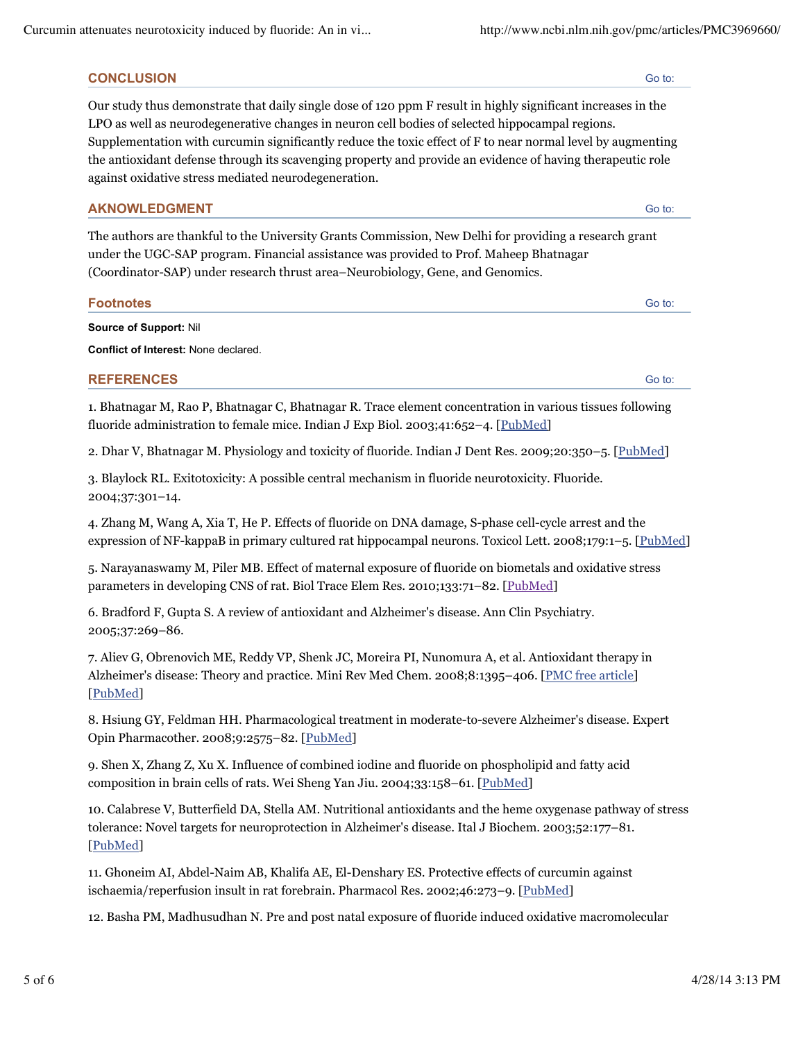# **CONCLUSION**

Our study thus demonstrate that daily single dose of 120 ppm F result in highly significant increases in the LPO as well as neurodegenerative changes in neuron cell bodies of selected hippocampal regions. Supplementation with curcumin significantly reduce the toxic effect of F to near normal level by augmenting the antioxidant defense through its scavenging property and provide an evidence of having therapeutic role against oxidative stress mediated neurodegeneration.

# **AKNOWLEDGMENT**

The authors are thankful to the University Grants Commission, New Delhi for providing a research grant under the UGC-SAP program. Financial assistance was provided to Prof. Maheep Bhatnagar (Coordinator-SAP) under research thrust area–Neurobiology, Gene, and Genomics.

# **Footnotes**

**Source of Support:** Nil

**Conflict of Interest:** None declared.

# **REFERENCES**

1. Bhatnagar M, Rao P, Bhatnagar C, Bhatnagar R. Trace element concentration in various tissues following fluoride administration to female mice. Indian J Exp Biol. 2003;41:652–4. [PubMed]

2. Dhar V, Bhatnagar M. Physiology and toxicity of fluoride. Indian J Dent Res. 2009;20:350–5. [PubMed]

3. Blaylock RL. Exitotoxicity: A possible central mechanism in fluoride neurotoxicity. Fluoride. 2004;37:301–14.

4. Zhang M, Wang A, Xia T, He P. Effects of fluoride on DNA damage, S-phase cell-cycle arrest and the expression of NF-kappaB in primary cultured rat hippocampal neurons. Toxicol Lett. 2008;179:1–5. [PubMed]

5. Narayanaswamy M, Piler MB. Effect of maternal exposure of fluoride on biometals and oxidative stress parameters in developing CNS of rat. Biol Trace Elem Res. 2010;133:71-82. [PubMed]

6. Bradford F, Gupta S. A review of antioxidant and Alzheimer's disease. Ann Clin Psychiatry. 2005;37:269–86.

7. Aliev G, Obrenovich ME, Reddy VP, Shenk JC, Moreira PI, Nunomura A, et al. Antioxidant therapy in Alzheimer's disease: Theory and practice. Mini Rev Med Chem. 2008;8:1395–406. [PMC free article] [PubMed]

8. Hsiung GY, Feldman HH. Pharmacological treatment in moderate-to-severe Alzheimer's disease. Expert Opin Pharmacother. 2008;9:2575-82. [PubMed]

9. Shen X, Zhang Z, Xu X. Influence of combined iodine and fluoride on phospholipid and fatty acid composition in brain cells of rats. Wei Sheng Yan Jiu. 2004;33:158–61. [PubMed]

10. Calabrese V, Butterfield DA, Stella AM. Nutritional antioxidants and the heme oxygenase pathway of stress tolerance: Novel targets for neuroprotection in Alzheimer's disease. Ital J Biochem. 2003;52:177–81. [PubMed]

11. Ghoneim AI, Abdel-Naim AB, Khalifa AE, El-Denshary ES. Protective effects of curcumin against ischaemia/reperfusion insult in rat forebrain. Pharmacol Res. 2002;46:273–9. [PubMed]

12. Basha PM, Madhusudhan N. Pre and post natal exposure of fluoride induced oxidative macromolecular

Go to:

Go to:

Go to: